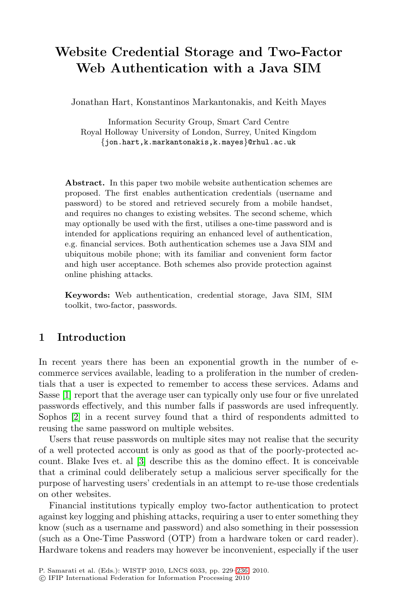# **Website Credential Storage and Two-Factor Web Authentication with a Java SIM**

Jonathan Hart, Konstantinos Markantonakis, and Keith Mayes

Information Security Group, Smart Card Centre Royal Holloway University of London, Surrey, United Kingdom {jon.hart,k.markantonakis,k.mayes}@rhul.ac.uk

**Abstract.** In this paper two mobile website authentication schemes are proposed. The first enables authentication credentials (username and password) to be stored and retrieved securely from a mobile handset, and requires no changes to existing websites. The second scheme, which may optionally be used with the first, utilises a one-time password and is intended for applications requiring an enhanced level of authentication, e.g. financial services. Both authentication schemes use a Java SIM and ubiquitous mobile phone; with its familiar and convenient form factor and high user acceptance. Both schemes also provide protection against online phishing attacks.

**Keywords:** Web authentication, credential storage, Java SIM, SIM toolkit, two-factor, passwords.

### **1 Introduction**

In recent years there has been an exponential growth in the number of ecom[mer](#page-7-0)ce services available, leading to a proliferation in the number of credentials that a user is expected to remember to access these services. Adams and Sasse [1] report that the average user can typically only use four or five unrelated passwords effectively, and this number falls if passwords are used infrequently. Sophos [2] in a recent survey found that a third of respondents admitted to reusing the same password on multiple websites.

Users that reuse passwords on multiple sites may not realise that the security of a well protected account is only as good as that of the poorly-protected account. Blake Ives et. al [3] describe this as the domino effect. It is conceivable that a criminal could deliberately setup a malicious server specifically for the purpose of harvesting users' c[rede](#page-7-1)ntials in an attempt to re-use those credentials on other websites.

Financial institutions typically employ two-factor authentication to protect against key logging and phishing attacks, requiring a user to enter something they know (such as a username and password) and also something in their possession (such as a One-Time Password (OTP) from a hardware token or card reader). Hardware tokens and readers may however be inconvenient, especially if the user

P. Samarati et al. (Eds.): WISTP 2010, LNCS 6033, pp. 229–236, 2010.

<sup>-</sup>c IFIP International Federation for Information Processing 2010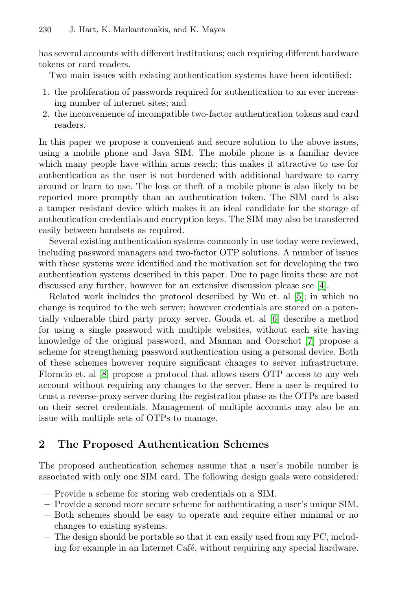#### 230 J. Hart, K. Markantonakis, and K. Mayes

has several accounts with different institutions; each requiring different hardware tokens or card readers.

Two main issues with existing authentication systems have been identified:

- 1. the proliferation of passwords required for authentication to an ever increasing number of internet sites; and
- 2. the inconvenience of incompatible two-factor authentication tokens and card readers.

In this paper we propose a convenient and secure solution to the above issues, using a mobile phone and Java SIM. The mobile phone is a familiar device which many people have within arms reach; this makes it attractive to use for authentication as the user is not burdened with additional hardware to carry around or learn to use. The loss or theft of a mobile phone is also likely to be reported more promptly than an authentication [to](#page-7-2)ken. The SIM card is also a tamper resistant device which makes it a[n id](#page-7-3)eal candidate for the storage of authentication credentials and encryption keys. The SIM may also be transferred easily between handsets as required.

Several existing authentication syste[m](#page-7-4)s commonly in use today were reviewed, including password managers and two-factor O[TP](#page-7-5) solutions. A number of issues with these systems were identified and the motivation set for developing the two authentication systems described in this paper. Due to page limits these are not discussed any further, however for an extensive discussion please see [4].

Related work includes the protocol described by Wu et. al [5]; in which no change is required to the web server; however credentials are stored on a potentially vulnerable third party proxy server. Gouda et. al [6] describe a method for using a single password with multiple websites, without each site having knowledge of the original password, and Mannan and Oorschot [7] propose a scheme for strengthening password authentication using a personal device. Both of these schemes however require significant changes to server infrastructure. Florncio et. al [8] propose a protocol that allows users OTP access to any web account without requiring any changes to the server. Here a user is required to trust a reverse-proxy server during the registration phase as the OTPs are based on their secret credentials. Management of multiple accounts may also be an issue with multiple sets of OTPs to manage.

# **2 The Proposed Authentication Schemes**

The proposed authentication schemes assume that a user's mobile number is associated with only one SIM card. The following design goals were considered:

- **–** Provide a scheme for storing web credentials on a SIM.
- **–** Provide a second more secure scheme for authenticating a user's unique SIM.
- **–** Both schemes should be easy to operate and require either minimal or no changes to existing systems.
- **–** The design should be portable so that it can easily used from any PC, including for example in an Internet Café, without requiring any special hardware.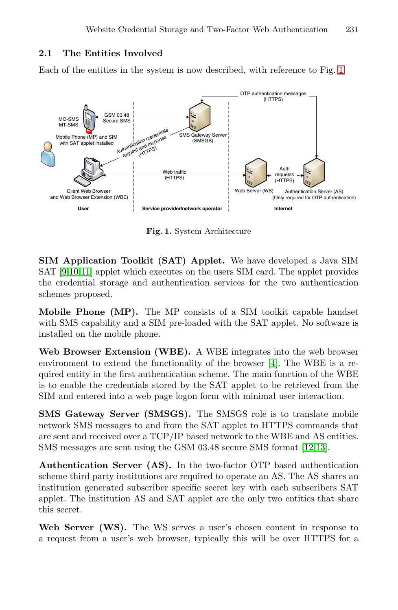#### **2.1 The Entities Involved**

Each of the entities in the system is now described, with reference to Fig. 1.



**Fig. 1.** System Architecture

**SIM Application Toolkit (SAT) Applet.** We have developed a Java SIM SAT [9,10,11] applet which executes on the users SIM card. The applet provides the credential storage and authentic[atio](#page-7-2)n services for the two authentication schemes proposed.

**Mobile Phone (MP).** The MP consists of a SIM toolkit capable handset with SMS capability and a SIM pre-loaded with the SAT applet. No software is installed on the mobile phone.

**Web Browser Extension (WBE).** A WBE integrates into the web browser environment to extend the functionality of th[e b](#page-7-6)[row](#page-7-7)ser [4]. The WBE is a required entity in the first authentication scheme. The main function of the WBE is to enable the credentials stored by the SAT applet to be retrieved from the SIM and entered into a web page logon form with minimal user interaction.

**SMS Gateway Server (SMSGS).** The SMSGS role is to translate mobile network SMS messages to and from the SAT applet to HTTPS commands that are sent and received over a TCP/IP based network to the WBE and AS entities. SMS messages are sent using the GSM 03.48 secure SMS format [12,13].

**Authentication Server (AS).** In the two-factor OTP based authentication scheme third party institutions are required to operate an AS. The AS shares an institution generated subscriber specific secret key with each subscribers SAT applet. The institution AS and SAT applet are the only two entities that share this secret.

**Web Server (WS).** The WS serves a user's chosen content in response to a request from a user's web browser, typically this will be over HTTPS for a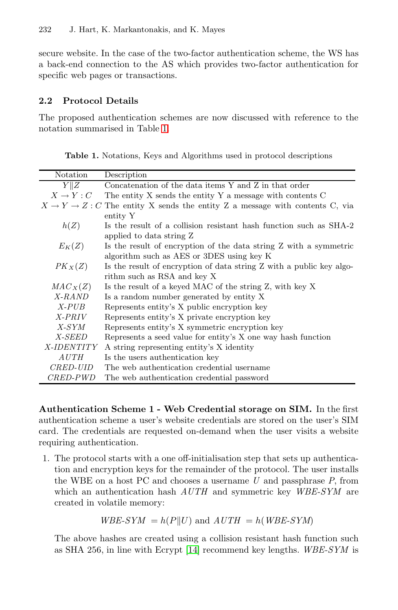secure website. In the case of the two-factor authentication scheme, the WS has a back-end connection to the AS which provides two-factor authentication for specific web pages or transactions.

## **2.2 Protocol Details**

The proposed authentication schemes are now discussed with reference to the notation summarised in Table 1.

| Notation          | Description                                                                        |
|-------------------|------------------------------------------------------------------------------------|
| Y  Z              | Concatenation of the data items Y and Z in that order                              |
| $X \to Y : C$     | The entity X sends the entity Y a message with contents C                          |
|                   | $X \to Y \to Z$ : C The entity X sends the entity Z a message with contents C, via |
|                   | entity Y                                                                           |
| h(Z)              | Is the result of a collision resistant hash function such as SHA-2                 |
|                   | applied to data string Z                                                           |
| $E_K(Z)$          | Is the result of encryption of the data string Z with a symmetric                  |
|                   | algorithm such as AES or 3DES using key K                                          |
| $PK_X(Z)$         | Is the result of encryption of data string Z with a public key algo-               |
|                   | rithm such as RSA and key X                                                        |
| $MAC_X(Z)$        | Is the result of a keyed MAC of the string Z, with key X                           |
| X-RAND            | Is a random number generated by entity X                                           |
| $X-PUB$           | Represents entity's X public encryption key                                        |
| $X$ - $PRIV$      | Represents entity's X private encryption key                                       |
| $X$ -SYM          | Represents entity's X symmetric encryption key                                     |
| X-SEED            | Represents a seed value for entity's X one way hash function                       |
| <i>X-IDENTITY</i> | A string representing entity's X identity                                          |
| $A \, UTH$        | Is the users authentication key                                                    |
| <i>CRED-UID</i>   | The web authentication credential username                                         |
| <i>CRED-PWD</i>   | The web authentication credential password                                         |

**Table 1.** Notations, Keys and Algorithms used in protocol descriptions

**Authentication Scheme 1 - Web Credential storage on SIM.** In the first authentication scheme a user's website credentials are stored on the user's SIM card. The credentials are requested on-demand when the user visits a website requiring authentication.

1. The protocol starts with a one off-initialisation step that sets up authentication and encr[ypti](#page-7-8)on keys for the remainder of the protocol. The user installs the WBE on a host PC and chooses a username *U* and passphrase *P*, from which an authentication hash *AUTH* and symmetric key *WBE-SYM* are created in volatile memory:

 $WBE-SYM = h(P||U)$  and  $AUTH = h(WBE-SYM)$ 

The above hashes are created using a collision resistant hash function such as SHA 256, in line with Ecrypt [14] recommend key lengths. *WBE-SYM* is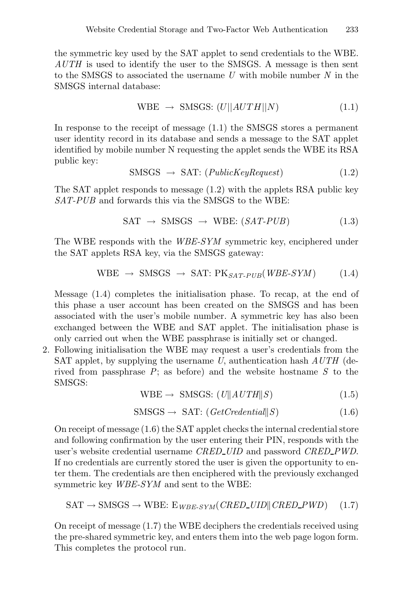the symmetric key used by the SAT applet to send credentials to the WBE. *AUTH* is used to identify the user to the SMSGS. A message is then sent to the SMSGS to associated the username *U* with mobile number *N* in the SMSGS internal database:

$$
WBE \rightarrow SMSGS: (U||AUTH||N) \tag{1.1}
$$

In response to the receipt of message (1.1) the SMSGS stores a permanent user identity record in its database and sends a message to the SAT applet identified by mobile number N requesting the applet sends the WBE its RSA public key:

$$
SMSGS \rightarrow SAT: (PublicKeyRequest) \qquad (1.2)
$$

The SAT applet responds to message (1.2) with the applets RSA public key *SAT-PUB* and forwards this via the SMSGS to the WBE:

$$
SAT \rightarrow SMSGS \rightarrow WBE: (SAT-PUB) \tag{1.3}
$$

The WBE responds with the *WBE-SYM* symmetric key, enciphered under the SAT applets RSA key, via the SMSGS gateway:

$$
WBE \rightarrow SMSGS \rightarrow SAT: PK_{SAT-PUB}(WBE-SYM) \tag{1.4}
$$

Message (1.4) completes the initialisation phase. To recap, at the end of this phase a user account has been created on the SMSGS and has been associated with the user's mobile number. A symmetric key has also been exchanged between the WBE and SAT applet. The initialisation phase is only carried out when the WBE passphrase is initially set or changed.

2. Following initialisation the WBE may request a user's credentials from the SAT applet, by supplying the username *U*, authentication hash *AUTH* (derived from passphrase *P*; as before) and the website hostname *S* to the SMSGS:

$$
WBE \to SMSGS: (U||AUTH||S)
$$
\n(1.5)

$$
SMSGS \rightarrow SAT: (GetCredential||S)
$$
 (1.6)

On receipt of message (1.6) the SAT applet checks the internal credential store and following confirmation by the user entering their PIN, responds with the user's website credential username *CRED UID* and password *CRED PWD*. If no credentials are currently stored the user is given the opportunity to enter them. The credentials are then enciphered with the previously exchanged symmetric key *WBE-SYM* and sent to the WBE:

$$
SAT \rightarrow SMSGS \rightarrow WBE: E_{WBE\text{-}SYM}(CRED\_UID || CRED\_PWD) \quad (1.7)
$$

On receipt of message (1.7) the WBE deciphers the credentials received using the pre-shared symmetric key, and enters them into the web page logon form. This completes the protocol run.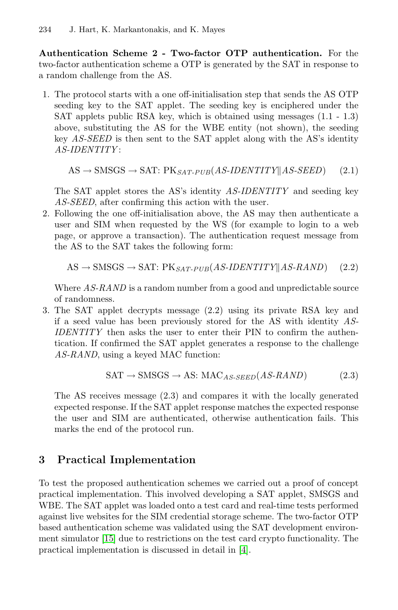**Authentication Scheme 2 - Two-factor OTP authentication.** For the two-factor authentication scheme a OTP is generated by the SAT in response to a random challenge from the AS.

1. The protocol starts with a one off-initialisation step that sends the AS OTP seeding key to the SAT applet. The seeding key is enciphered under the SAT applets public RSA key, which is obtained using messages (1.1 - 1.3) above, substituting the AS for the WBE entity (not shown), the seeding key *AS-SEED* is then sent to the SAT applet along with the AS's identity *AS-IDENTITY* :

 $AS \rightarrow SMSGS \rightarrow SAT: PK_{SAT-PUB}(AS-IDENTITY||AS-SEED)$  (2.1)

The SAT applet stores the AS's identity *AS-IDENTITY* and seeding key *AS-SEED*, after confirming this action with the user.

2. Following the one off-initialisation above, the AS may then authenticate a user and SIM when requested by the WS (for example to login to a web page, or approve a transaction). The authentication request message from the AS to the SAT takes the following form:

 $AS \rightarrow SMSGS \rightarrow SAT: PK_{SAT-PUB}(AS-IDENTITY||AS-RAND)$  (2.2)

Where  $AS-RAND$  is a random number from a good and unpredictable source of randomness.

3. The SAT applet decrypts message (2.2) using its private RSA key and if a seed value has been previously stored for the AS with identity *AS-IDENTITY* then asks the user to enter their PIN to confirm the authentication. If confirmed the SAT applet generates a response to the challenge *AS-RAND*, using a keyed MAC function:

$$
SAT \rightarrow SMSGS \rightarrow AS: MAC_{AS\text{-}SEED}(AS\text{-}RAND) \tag{2.3}
$$

The AS receives message (2.3) and compares it with the locally generated expected response. If the SAT applet response matches the expected response the user and SIM are authenticated, otherwise authentication fails. This marks the end of the protocol run.

# **3 Practical Implemen[ta](#page-7-2)tion**

To test the proposed authentication schemes we carried out a proof of concept practical implementation. This involved developing a SAT applet, SMSGS and WBE. The SAT applet was loaded onto a test card and real-time tests performed against live websites for the SIM credential storage scheme. The two-factor OTP based authentication scheme was validated using the SAT development environment simulator [15] due to restrictions on the test card crypto functionality. The practical implementation is discussed in detail in [4].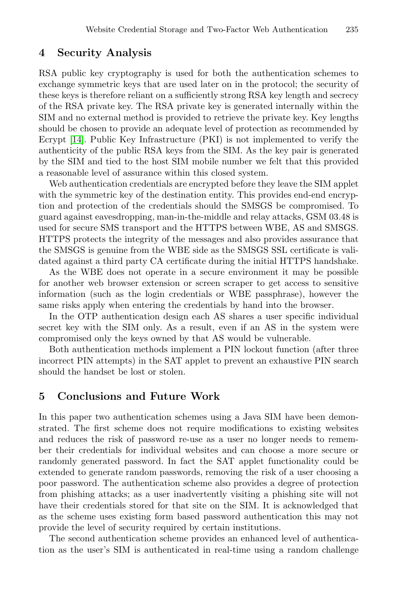### **4 Security Analysis**

RSA public key cryptography is used for both the authentication schemes to exchange symmetric keys that are used later on in the protocol; the security of these keys is therefore reliant on a sufficiently strong RSA key length and secrecy of the RSA private key. The RSA private key is generated internally within the SIM and no external method is provided to retrieve the private key. Key lengths should be chosen to provide an adequate level of protection as recommended by Ecrypt [14]. Public Key Infrastructure (PKI) is not implemented to verify the authenticity of the public RSA keys from the SIM. As the key pair is generated by the SIM and tied to the host SIM mobile number we felt that this provided a reasonable level of assurance within this closed system.

Web authentication credentials are encrypted before they leave the SIM applet with the symmetric key of the destination entity. This provides end-end encryption and protection of the credentials should the SMSGS be compromised. To guard against eavesdropping, man-in-the-middle and relay attacks, GSM 03.48 is used for secure SMS transport and the HTTPS between WBE, AS and SMSGS. HTTPS protects the integrity of the messages and also provides assurance that the SMSGS is genuine from the WBE side as the SMSGS SSL certificate is validated against a third party CA certificate during the initial HTTPS handshake.

As the WBE does not operate in a secure environment it may be possible for another web browser extension or screen scraper to get access to sensitive information (such as the login credentials or WBE passphrase), however the same risks apply when entering the credentials by hand into the browser.

In the OTP authentication design each AS shares a user specific individual secret key with the SIM only. As a result, even if an AS in the system were compromised only the keys owned by that AS would be vulnerable.

Both authentication methods implement a PIN lockout function (after three incorrect PIN attempts) in the SAT applet to prevent an exhaustive PIN search should the handset be lost or stolen.

# **5 Conclusions and Future Work**

In this paper two authentication schemes using a Java SIM have been demonstrated. The first scheme does not require modifications to existing websites and reduces the risk of password re-use as a user no longer needs to remember their credentials for individual websites and can choose a more secure or randomly generated password. In fact the SAT applet functionality could be extended to generate random passwords, removing the risk of a user choosing a poor password. The authentication scheme also provides a degree of protection from phishing attacks; as a user inadvertently visiting a phishing site will not have their credentials stored for that site on the SIM. It is acknowledged that as the scheme uses existing form based password authentication this may not provide the level of security required by certain institutions.

The second authentication scheme provides an enhanced level of authentication as the user's SIM is authenticated in real-time using a random challenge